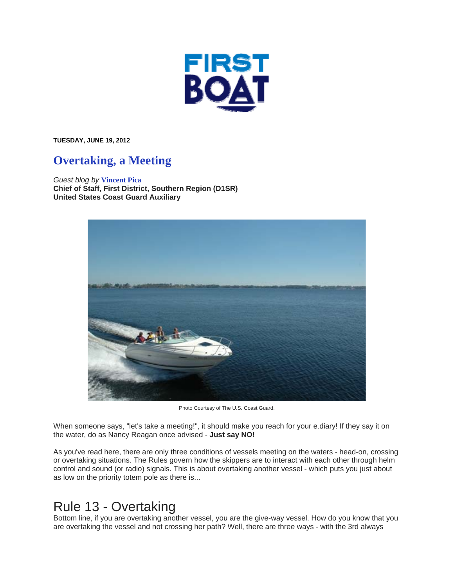

**TUESDAY, JUNE 19, 2012** 

## **Overtaking, a Meeting**

*Guest blog by* **Vincent Pica Chief of Staff, First District, Southern Region (D1SR) United States Coast Guard Auxiliary**



Photo Courtesy of The U.S. Coast Guard.

When someone says, "let's take a meeting!", it should make you reach for your e.diary! If they say it on the water, do as Nancy Reagan once advised - **Just say NO!**

As you've read here, there are only three conditions of vessels meeting on the waters - head-on, crossing or overtaking situations. The Rules govern how the skippers are to interact with each other through helm control and sound (or radio) signals. This is about overtaking another vessel - which puts you just about as low on the priority totem pole as there is...

## Rule 13 - Overtaking

Bottom line, if you are overtaking another vessel, you are the give-way vessel. How do you know that you are overtaking the vessel and not crossing her path? Well, there are three ways - with the 3rd always